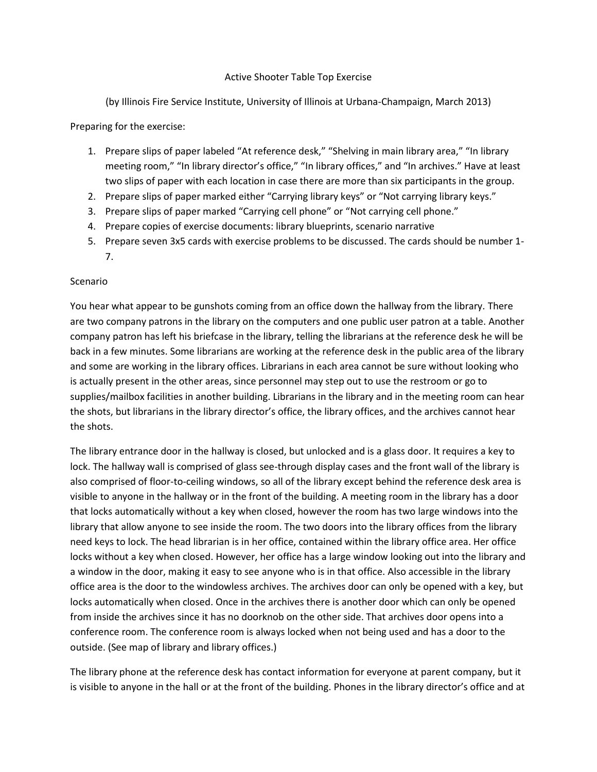## Active Shooter Table Top Exercise

(by Illinois Fire Service Institute, University of Illinois at Urbana-Champaign, March 2013)

Preparing for the exercise:

- 1. Prepare slips of paper labeled "At reference desk," "Shelving in main library area," "In library meeting room," "In library director's office," "In library offices," and "In archives." Have at least two slips of paper with each location in case there are more than six participants in the group.
- 2. Prepare slips of paper marked either "Carrying library keys" or "Not carrying library keys."
- 3. Prepare slips of paper marked "Carrying cell phone" or "Not carrying cell phone."
- 4. Prepare copies of exercise documents: library blueprints, scenario narrative
- 5. Prepare seven 3x5 cards with exercise problems to be discussed. The cards should be number 1-
- 7.

## Scenario

You hear what appear to be gunshots coming from an office down the hallway from the library. There are two company patrons in the library on the computers and one public user patron at a table. Another company patron has left his briefcase in the library, telling the librarians at the reference desk he will be back in a few minutes. Some librarians are working at the reference desk in the public area of the library and some are working in the library offices. Librarians in each area cannot be sure without looking who is actually present in the other areas, since personnel may step out to use the restroom or go to supplies/mailbox facilities in another building. Librarians in the library and in the meeting room can hear the shots, but librarians in the library director's office, the library offices, and the archives cannot hear the shots.

The library entrance door in the hallway is closed, but unlocked and is a glass door. It requires a key to lock. The hallway wall is comprised of glass see-through display cases and the front wall of the library is also comprised of floor-to-ceiling windows, so all of the library except behind the reference desk area is visible to anyone in the hallway or in the front of the building. A meeting room in the library has a door that locks automatically without a key when closed, however the room has two large windows into the library that allow anyone to see inside the room. The two doors into the library offices from the library need keys to lock. The head librarian is in her office, contained within the library office area. Her office locks without a key when closed. However, her office has a large window looking out into the library and a window in the door, making it easy to see anyone who is in that office. Also accessible in the library office area is the door to the windowless archives. The archives door can only be opened with a key, but locks automatically when closed. Once in the archives there is another door which can only be opened from inside the archives since it has no doorknob on the other side. That archives door opens into a conference room. The conference room is always locked when not being used and has a door to the outside. (See map of library and library offices.)

The library phone at the reference desk has contact information for everyone at parent company, but it is visible to anyone in the hall or at the front of the building. Phones in the library director's office and at